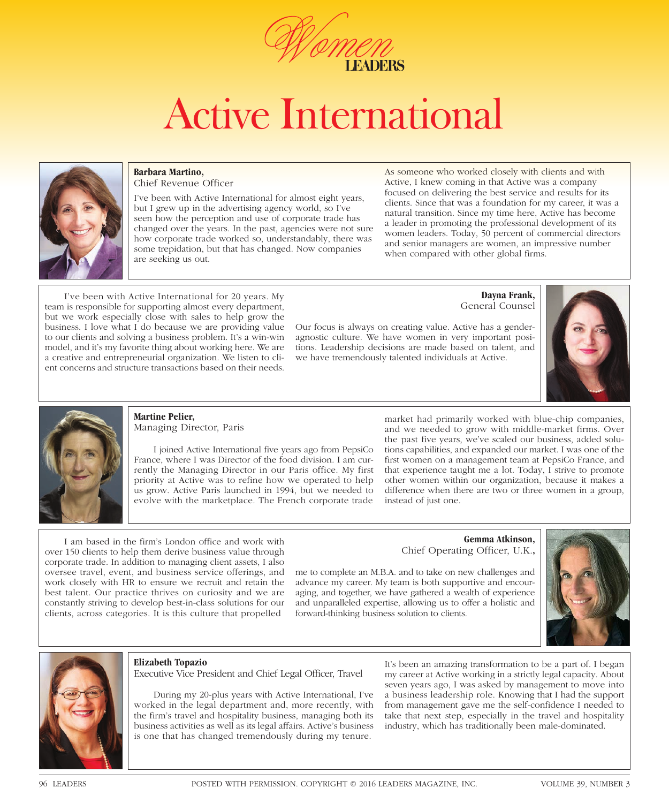

# Active International



### **Barbara Martino,**

Chief Revenue Officer

I've been with Active International for almost eight years, but I grew up in the advertising agency world, so I've seen how the perception and use of corporate trade has changed over the years. In the past, agencies were not sure how corporate trade worked so, understandably, there was some trepidation, but that has changed. Now companies are seeking us out.

As someone who worked closely with clients and with Active, I knew coming in that Active was a company focused on delivering the best service and results for its clients. Since that was a foundation for my career, it was a natural transition. Since my time here, Active has become a leader in promoting the professional development of its women leaders. Today, 50 percent of commercial directors and senior managers are women, an impressive number when compared with other global firms.

I've been with Active International for 20 years. My team is responsible for supporting almost every department, but we work especially close with sales to help grow the business. I love what I do because we are providing value to our clients and solving a business problem. It's a win-win model, and it's my favorite thing about working here. We are a creative and entrepreneurial organization. We listen to client concerns and structure transactions based on their needs.

**Dayna Frank,**  General Counsel

Our focus is always on creating value. Active has a genderagnostic culture. We have women in very important positions. Leadership decisions are made based on talent, and we have tremendously talented individuals at Active.





### **Martine Pelier,**  Managing Director, Paris

I joined Active International five years ago from PepsiCo France, where I was Director of the food division. I am currently the Managing Director in our Paris office. My first priority at Active was to refine how we operated to help us grow. Active Paris launched in 1994, but we needed to evolve with the marketplace. The French corporate trade

market had primarily worked with blue-chip companies, and we needed to grow with middle-market firms. Over the past five years, we've scaled our business, added solutions capabilities, and expanded our market. I was one of the first women on a management team at PepsiCo France, and that experience taught me a lot. Today, I strive to promote other women within our organization, because it makes a difference when there are two or three women in a group, instead of just one.

I am based in the firm's London office and work with over 150 clients to help them derive business value through corporate trade. In addition to managing client assets, I also oversee travel, event, and business service offerings, and work closely with HR to ensure we recruit and retain the best talent. Our practice thrives on curiosity and we are constantly striving to develop best-in-class solutions for our clients, across categories. It is this culture that propelled

**Gemma Atkinson,**  Chief Operating Officer, U.K.**,**

me to complete an M.B.A. and to take on new challenges and advance my career. My team is both supportive and encouraging, and together, we have gathered a wealth of experience and unparalleled expertise, allowing us to offer a holistic and forward-thinking business solution to clients.





### **Elizabeth Topazio**

Executive Vice President and Chief Legal Officer, Travel

During my 20-plus years with Active International, I've worked in the legal department and, more recently, with the firm's travel and hospitality business, managing both its business activities as well as its legal affairs. Active's business is one that has changed tremendously during my tenure.

It's been an amazing transformation to be a part of. I began my career at Active working in a strictly legal capacity. About seven years ago, I was asked by management to move into a business leadership role. Knowing that I had the support from management gave me the self-confidence I needed to take that next step, especially in the travel and hospitality industry, which has traditionally been male-dominated.